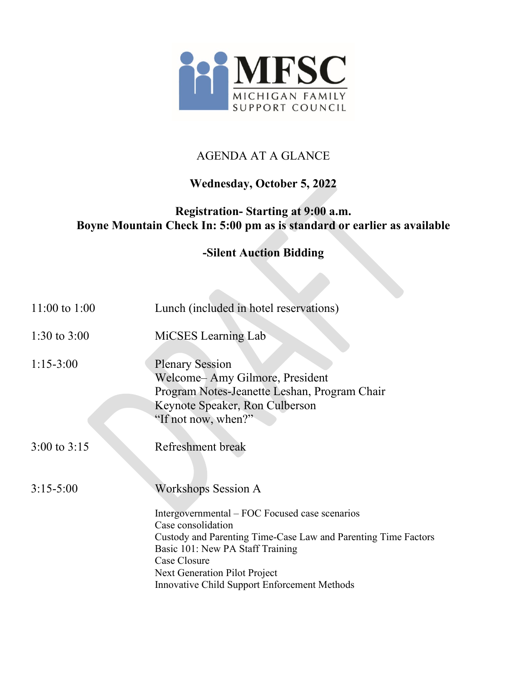

#### AGENDA AT A GLANCE

### **Wednesday, October 5, 2022**

## **Registration- Starting at 9:00 a.m. Boyne Mountain Check In: 5:00 pm as is standard or earlier as available**

# **-Silent Auction Bidding**

| 11:00 to 1:00  | Lunch (included in hotel reservations)                                                                                                                                                                                                                                                                    |
|----------------|-----------------------------------------------------------------------------------------------------------------------------------------------------------------------------------------------------------------------------------------------------------------------------------------------------------|
| 1:30 to $3:00$ | MiCSES Learning Lab                                                                                                                                                                                                                                                                                       |
| $1:15-3:00$    | <b>Plenary Session</b><br>Welcome-Amy Gilmore, President<br>Program Notes-Jeanette Leshan, Program Chair<br>Keynote Speaker, Ron Culberson<br>"If not now, when?"                                                                                                                                         |
| 3:00 to $3:15$ | <b>Refreshment</b> break                                                                                                                                                                                                                                                                                  |
| $3:15 - 5:00$  | Workshops Session A<br>Intergovernmental – FOC Focused case scenarios<br>Case consolidation<br>Custody and Parenting Time-Case Law and Parenting Time Factors<br>Basic 101: New PA Staff Training<br>Case Closure<br><b>Next Generation Pilot Project</b><br>Innovative Child Support Enforcement Methods |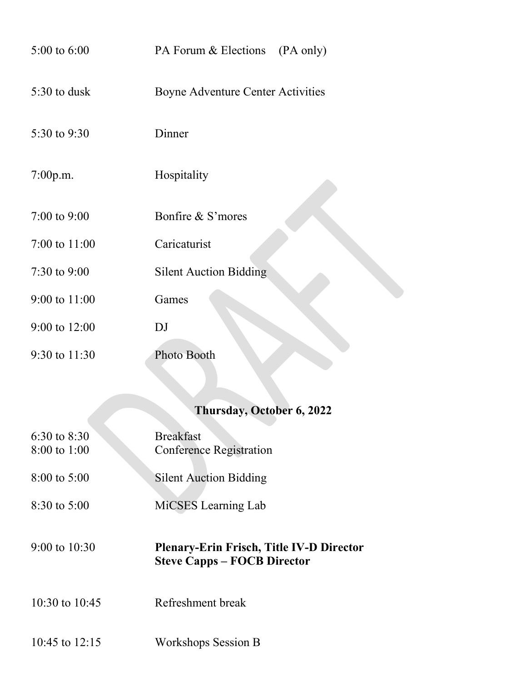| 5:00 to 6:00     | PA Forum & Elections (PA only)    |
|------------------|-----------------------------------|
| 5:30 to dusk     | Boyne Adventure Center Activities |
| 5:30 to 9:30     | Dinner                            |
| 7:00p.m.         | Hospitality                       |
| $7:00$ to $9:00$ | Bonfire & S'mores                 |
| 7:00 to $11:00$  | Caricaturist                      |
| $7:30$ to $9:00$ | <b>Silent Auction Bidding</b>     |
| 9:00 to 11:00    | Games                             |
| 9:00 to 12:00    | DJ                                |
| 9:30 to 11:30    | Photo Booth                       |

# **Thursday, October 6, 2022**

| $6:30$ to $8:30$        | <b>Breakfast</b>                                                                      |
|-------------------------|---------------------------------------------------------------------------------------|
| $8:00 \text{ to } 1:00$ | <b>Conference Registration</b>                                                        |
| $8:00$ to $5:00$        | <b>Silent Auction Bidding</b>                                                         |
| $8:30 \text{ to } 5:00$ | MiCSES Learning Lab                                                                   |
| 9:00 to $10:30$         | <b>Plenary-Erin Frisch, Title IV-D Director</b><br><b>Steve Capps – FOCB Director</b> |
| 10:30 to $10:45$        | Refreshment break                                                                     |
| 10:45 to 12:15          | <b>Workshops Session B</b>                                                            |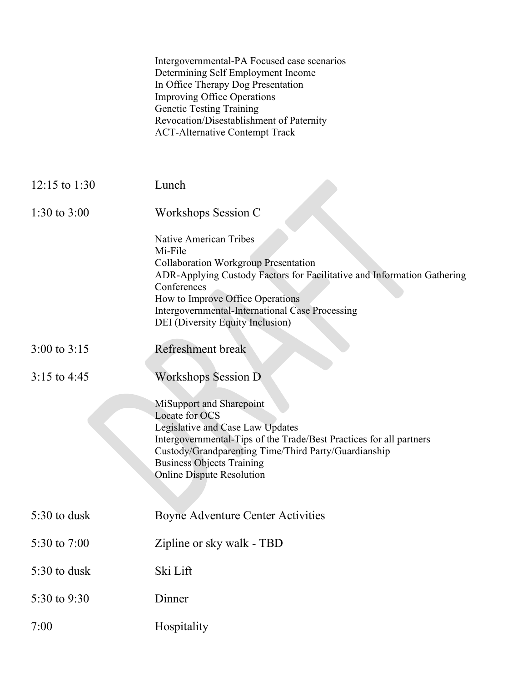|                  | Intergovernmental-PA Focused case scenarios<br>Determining Self Employment Income<br>In Office Therapy Dog Presentation<br><b>Improving Office Operations</b><br><b>Genetic Testing Training</b><br>Revocation/Disestablishment of Paternity<br><b>ACT-Alternative Contempt Track</b>                        |
|------------------|--------------------------------------------------------------------------------------------------------------------------------------------------------------------------------------------------------------------------------------------------------------------------------------------------------------|
| 12:15 to 1:30    | Lunch                                                                                                                                                                                                                                                                                                        |
| 1:30 to $3:00$   | Workshops Session C                                                                                                                                                                                                                                                                                          |
|                  | <b>Native American Tribes</b><br>Mi-File<br><b>Collaboration Workgroup Presentation</b><br>ADR-Applying Custody Factors for Facilitative and Information Gathering<br>Conferences<br>How to Improve Office Operations<br>Intergovernmental-International Case Processing<br>DEI (Diversity Equity Inclusion) |
| $3:00$ to $3:15$ | Refreshment break                                                                                                                                                                                                                                                                                            |
| $3:15$ to 4:45   | Workshops Session D                                                                                                                                                                                                                                                                                          |
|                  | MiSupport and Sharepoint<br>Locate for OCS<br>Legislative and Case Law Updates<br>Intergovernmental-Tips of the Trade/Best Practices for all partners<br>Custody/Grandparenting Time/Third Party/Guardianship<br><b>Business Objects Training</b><br><b>Online Dispute Resolution</b>                        |
| 5:30 to dusk     | Boyne Adventure Center Activities                                                                                                                                                                                                                                                                            |
| 5:30 to 7:00     | Zipline or sky walk - TBD                                                                                                                                                                                                                                                                                    |
| 5:30 to dusk     | Ski Lift                                                                                                                                                                                                                                                                                                     |
| 5:30 to 9:30     | Dinner                                                                                                                                                                                                                                                                                                       |
| 7:00             | Hospitality                                                                                                                                                                                                                                                                                                  |